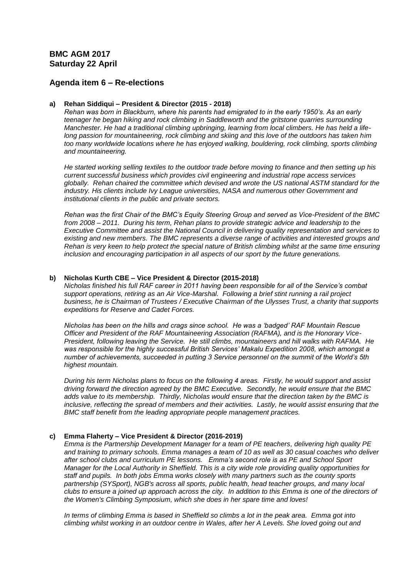# **BMC AGM 2017 Saturday 22 April**

## **Agenda item 6 – Re-elections**

#### **a) Rehan Siddiqui – President & Director (2015 - 2018)**

*Rehan was born in Blackburn, where his parents had emigrated to in the early 1950's. As an early teenager he began hiking and rock climbing in Saddleworth and the gritstone quarries surrounding Manchester. He had a traditional climbing upbringing, learning from local climbers. He has held a lifelong passion for mountaineering, rock climbing and skiing and this love of the outdoors has taken him too many worldwide locations where he has enjoyed walking, bouldering, rock climbing, sports climbing and mountaineering.*

*He started working selling textiles to the outdoor trade before moving to finance and then setting up his current successful business which provides civil engineering and industrial rope access services globally. Rehan chaired the committee which devised and wrote the US national ASTM standard for the industry. His clients include Ivy League universities, NASA and numerous other Government and institutional clients in the public and private sectors.*

*Rehan was the first Chair of the BMC's Equity Steering Group and served as Vice-President of the BMC from 2008 – 2011. During his term, Rehan plans to provide strategic advice and leadership to the Executive Committee and assist the National Council in delivering quality representation and services to*  existing and new members. The BMC represents a diverse range of activities and interested groups and *Rehan is very keen to help protect the special nature of British climbing whilst at the same time ensuring inclusion and encouraging participation in all aspects of our sport by the future generations.*

#### **b) Nicholas Kurth CBE – Vice President & Director (2015-2018)**

*Nicholas finished his full RAF career in 2011 having been responsible for all of the Service's combat support operations, retiring as an Air Vice-Marshal. Following a brief stint running a rail project business, he is Chairman of Trustees / Executive Chairman of the Ulysses Trust, a charity that supports expeditions for Reserve and Cadet Forces.* 

*Nicholas has been on the hills and crags since school. He was a 'badged' RAF Mountain Rescue Officer and President of the RAF Mountaineering Association (RAFMA), and is the Honorary Vice-President, following leaving the Service. He still climbs, mountaineers and hill walks with RAFMA. He was responsible for the highly successful British Services' Makalu Expedition 2008, which amongst a number of achievements, succeeded in putting 3 Service personnel on the summit of the World's 5th highest mountain.* 

*During his term Nicholas plans to focus on the following 4 areas. Firstly, he would support and assist driving forward the direction agreed by the BMC Executive. Secondly, he would ensure that the BMC adds value to its membership. Thirdly, Nicholas would ensure that the direction taken by the BMC is inclusive, reflecting the spread of members and their activities. Lastly, he would assist ensuring that the BMC staff benefit from the leading appropriate people management practices.*

### **c) Emma Flaherty – Vice President & Director (2016-2019)**

*Emma is the Partnership Development Manager for a team of PE teachers, delivering high quality PE and training to primary schools. Emma manages a team of 10 as well as 30 casual coaches who deliver after school clubs and curriculum PE lessons. Emma's second role is as PE and School Sport Manager for the Local Authority in Sheffield. This is a city wide role providing quality opportunities for staff and pupils. In both jobs Emma works closely with many partners such as the county sports partnership (SYSport), NGB's across all sports, public health, head teacher groups, and many local clubs to ensure a joined up approach across the city. In addition to this Emma is one of the directors of the Women's Climbing Symposium, which she does in her spare time and loves!*

*In terms of climbing Emma is based in Sheffield so climbs a lot in the peak area. Emma got into climbing whilst working in an outdoor centre in Wales, after her A Levels. She loved going out and*